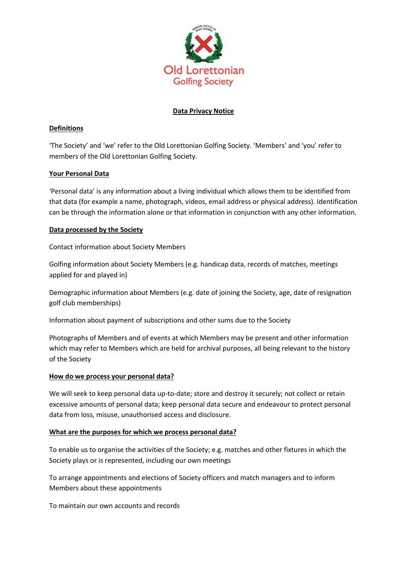

# **Data Privacy Notice**

# **Definitions**

'The Society' and 'we' refer to the Old Lorettonian Golfing Society. 'Members' and 'you' refer to members of the Old Lorettonian Golfing Society.

# **Your Personal Data**

'Personal data' is any information about a living individual which allows them to be identified from that data (for example a name, photograph, videos, email address or physical address). Identification can be through the information alone or that information in conjunction with any other information.

# **Data processed by the Society**

Contact information about Society Members

Golfing information about Society Members (e.g. handicap data, records of matches, meetings applied for and played in)

Demographic information about Members (e.g. date of joining the Society, age, date of resignation golf club memberships)

Information about payment of subscriptions and other sums due to the Society

Photographs of Members and of events at which Members may be present and other information which may refer to Members which are held for archival purposes, all being relevant to the history of the Society

# **How do we process your personal data?**

We will seek to keep personal data up-to-date; store and destroy it securely; not collect or retain excessive amounts of personal data; keep personal data secure and endeavour to protect personal data from loss, misuse, unauthorised access and disclosure.

# **What are the purposes for which we process personal data?**

To enable us to organise the activities of the Society; e.g. matches and other fixtures in which the Society plays or is represented, including our own meetings

To arrange appointments and elections of Society officers and match managers and to inform Members about these appointments

To maintain our own accounts and records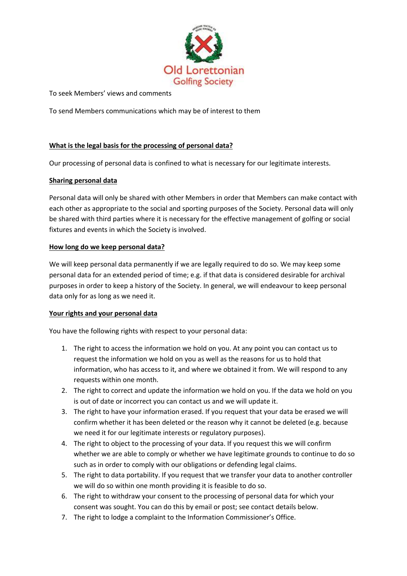

To seek Members' views and comments

To send Members communications which may be of interest to them

# **What is the legal basis for the processing of personal data?**

Our processing of personal data is confined to what is necessary for our legitimate interests.

### **Sharing personal data**

Personal data will only be shared with other Members in order that Members can make contact with each other as appropriate to the social and sporting purposes of the Society. Personal data will only be shared with third parties where it is necessary for the effective management of golfing or social fixtures and events in which the Society is involved.

### **How long do we keep personal data?**

We will keep personal data permanently if we are legally required to do so. We may keep some personal data for an extended period of time; e.g. if that data is considered desirable for archival purposes in order to keep a history of the Society. In general, we will endeavour to keep personal data only for as long as we need it.

### **Your rights and your personal data**

You have the following rights with respect to your personal data:

- 1. The right to access the information we hold on you. At any point you can contact us to request the information we hold on you as well as the reasons for us to hold that information, who has access to it, and where we obtained it from. We will respond to any requests within one month.
- 2. The right to correct and update the information we hold on you. If the data we hold on you is out of date or incorrect you can contact us and we will update it.
- 3. The right to have your information erased. If you request that your data be erased we will confirm whether it has been deleted or the reason why it cannot be deleted (e.g. because we need it for our legitimate interests or regulatory purposes).
- 4. The right to object to the processing of your data. If you request this we will confirm whether we are able to comply or whether we have legitimate grounds to continue to do so such as in order to comply with our obligations or defending legal claims.
- 5. The right to data portability. If you request that we transfer your data to another controller we will do so within one month providing it is feasible to do so.
- 6. The right to withdraw your consent to the processing of personal data for which your consent was sought. You can do this by email or post; see contact details below.
- 7. The right to lodge a complaint to the Information Commissioner's Office.